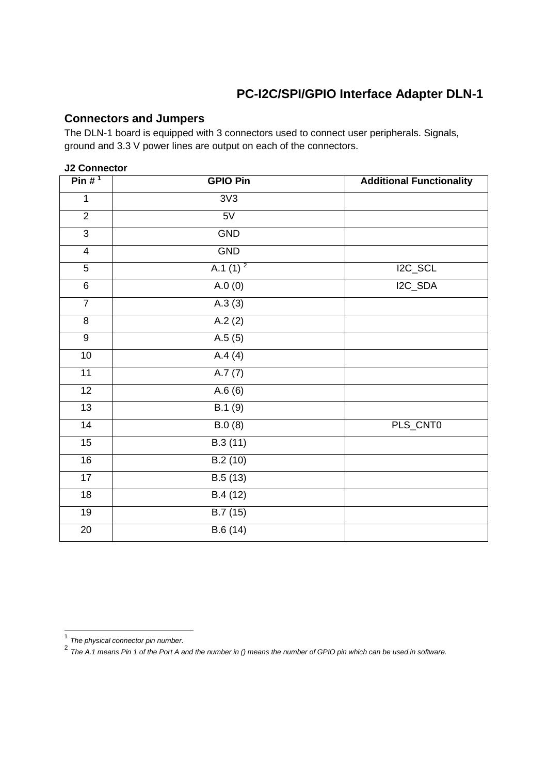## **PC-I2C/SPI/GPIO Interface Adapter DLN-1**

## **Connectors and Jumpers**

The DLN-1 board is equipped with 3 connectors used to connect user peripherals. Signals, ground and 3.3 V power lines are output on each of the connectors.

### **J2 Connector**

| Pin $#^1$        | <b>GPIO Pin</b> | <b>Additional Functionality</b> |
|------------------|-----------------|---------------------------------|
| $\mathbf{1}$     | 3V3             |                                 |
| $\overline{2}$   | 5V              |                                 |
| $\overline{3}$   | <b>GND</b>      |                                 |
| $\overline{4}$   | <b>GND</b>      |                                 |
| $\overline{5}$   | A.1 $(1)^2$     | $I2C$ <sub>_</sub> SCL          |
| 6                | A.0(0)          | I2C_SDA                         |
| $\overline{7}$   | A.3(3)          |                                 |
| $\overline{8}$   | A.2(2)          |                                 |
| $\boldsymbol{9}$ | A.5(5)          |                                 |
| $10$             | A.4(4)          |                                 |
| 11               | A.7(7)          |                                 |
| $\overline{12}$  | A.6(6)          |                                 |
| 13               | B.1(9)          |                                 |
| 14               | B.0(8)          | PLS_CNT0                        |
| 15               | B.3(11)         |                                 |
| 16               | B.2(10)         |                                 |
| 17               | B.5(13)         |                                 |
| 18               | B.4(12)         |                                 |
| 19               | B.7(15)         |                                 |
| 20               | B.6(14)         |                                 |

 1 The physical connector pin number. 2 The A.1 means Pin 1 of the Port A and the number in () means the number of GPIO pin which can be used in software.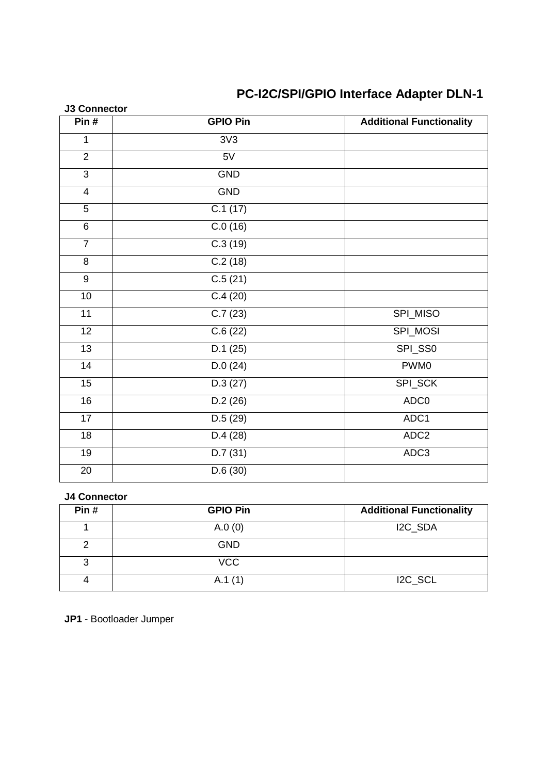# **PC-I2C/SPI/GPIO Interface Adapter DLN-1**

| <b>J3 Connector</b> |                      |                                 |
|---------------------|----------------------|---------------------------------|
| Pin#                | <b>GPIO Pin</b>      | <b>Additional Functionality</b> |
| $\mathbf{1}$        | 3V3                  |                                 |
| $\overline{2}$      | 5V                   |                                 |
| $\mathbf{3}$        | GND                  |                                 |
| $\overline{4}$      | GND                  |                                 |
| 5                   | C.1(17)              |                                 |
| $\overline{6}$      | C.0(16)              |                                 |
| $\overline{7}$      | C.3(19)              |                                 |
| 8                   | C.2(18)              |                                 |
| 9                   | $\overline{C.5(21)}$ |                                 |
| 10                  | C.4(20)              |                                 |
| $\overline{11}$     | C.7(23)              | SPI_MISO                        |
| 12                  | C.6(22)              | SPI_MOSI                        |
| $\overline{13}$     | D.1(25)              | SPI_SS0                         |
| $\overline{14}$     | $\overline{D.0(24)}$ | PWM <sub>0</sub>                |
| $\overline{15}$     | D.3(27)              | SPI_SCK                         |
| 16                  | D.2(26)              | ADC0                            |
| 17                  | D.5(29)              | ADC1                            |
| 18                  | D.4(28)              | ADC <sub>2</sub>                |
| 19                  | D.7(31)              | ADC3                            |
| $\overline{20}$     | D.6(30)              |                                 |

#### **J4 Connector**

| Pin# | <b>GPIO Pin</b> | <b>Additional Functionality</b> |
|------|-----------------|---------------------------------|
|      | A.0(0)          | I2C_SDA                         |
| 2    | <b>GND</b>      |                                 |
| 3    | <b>VCC</b>      |                                 |
| 4    | A.1(1)          | I2C_SCL                         |

**JP1** - Bootloader Jumper